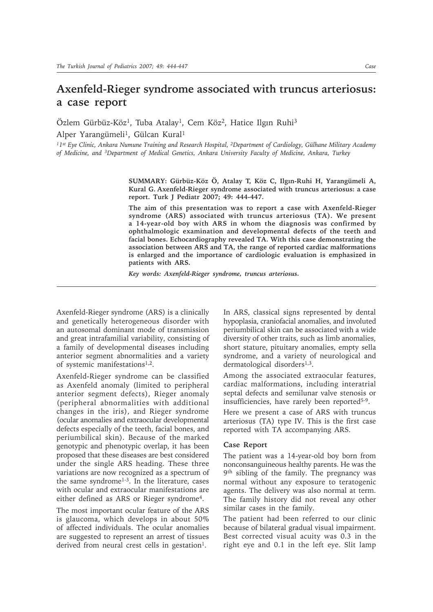# **Axenfeld-Rieger syndrome associated with truncus arteriosus: a case report**

Özlem Gürbüz-Köz<sup>1</sup>, Tuba Atalay<sup>1</sup>, Cem Köz<sup>2</sup>, Hatice Ilgın Ruhi<sup>3</sup>

Alper Yarangümeli<sup>1</sup>, Gülcan Kural<sup>1</sup>

*11st Eye Clinic, Ankara Numune Training and Research Hospital, 2Department of Cardiology, Gülhane Military Academy of Medicine, and 3Department of Medical Genetics, Ankara University Faculty of Medicine, Ankara, Turkey*

> **SUMMARY: Gürbüz-Köz Ö, Atalay T, Köz C, Ilgın-Ruhi H, Yarangümeli A, Kural G. Axenfeld-Rieger syndrome associated with truncus arteriosus: a case report. Turk J Pediatr 2007; 49: 444-447.**

> **The aim of this presentation was to report a case with Axenfeld-Rieger syndrome (ARS) associated with truncus arteriosus (TA). We present a 14-year-old boy with ARS in whom the diagnosis was confirmed by ophthalmologic examination and developmental defects of the teeth and facial bones. Echocardiography revealed TA. With this case demonstrating the association between ARS and TA, the range of reported cardiac malformations is enlarged and the importance of cardiologic evaluation is emphasized in patients with ARS.**

*Key words: Axenfeld-Rieger syndrome, truncus arteriosus.*

Axenfeld-Rieger syndrome (ARS) is a clinically and genetically heterogeneous disorder with an autosomal dominant mode of transmission and great intrafamilial variability, consisting of a family of developmental diseases including anterior segment abnormalities and a variety of systemic manifestations1,2.

Axenfeld-Rieger syndrome can be classified as Axenfeld anomaly (limited to peripheral anterior segment defects), Rieger anomaly (peripheral abnormalities with additional changes in the iris), and Rieger syndrome (ocular anomalies and extraocular developmental defects especially of the teeth, facial bones, and periumbilical skin). Because of the marked genotypic and phenotypic overlap, it has been proposed that these diseases are best considered under the single ARS heading. These three variations are now recognized as a spectrum of the same syndrome<sup>1-3</sup>. In the literature, cases with ocular and extraocular manifestations are either defined as ARS or Rieger syndrome<sup>4</sup>.

The most important ocular feature of the ARS is glaucoma, which develops in about 50% of affected individuals. The ocular anomalies are suggested to represent an arrest of tissues derived from neural crest cells in gestation<sup>1</sup>.

In ARS, classical signs represented by dental hypoplasia, craniofacial anomalies, and involuted periumbilical skin can be associated with a wide diversity of other traits, such as limb anomalies, short stature, pituitary anomalies, empty sella syndrome, and a variety of neurological and dermatological disorders<sup>1,3</sup>.

Among the associated extraocular features, cardiac malformations, including interatrial septal defects and semilunar valve stenosis or insufficiencies, have rarely been reported<sup>5-9</sup>.

Here we present a case of ARS with truncus arteriosus (TA) type IV. This is the first case reported with TA accompanying ARS.

## **Case Report**

The patient was a 14-year-old boy born from nonconsanguineous healthy parents. He was the 9th sibling of the family. The pregnancy was normal without any exposure to teratogenic agents. The delivery was also normal at term. The family history did not reveal any other similar cases in the family.

The patient had been referred to our clinic because of bilateral gradual visual impairment. Best corrected visual acuity was 0.3 in the right eye and 0.1 in the left eye. Slit lamp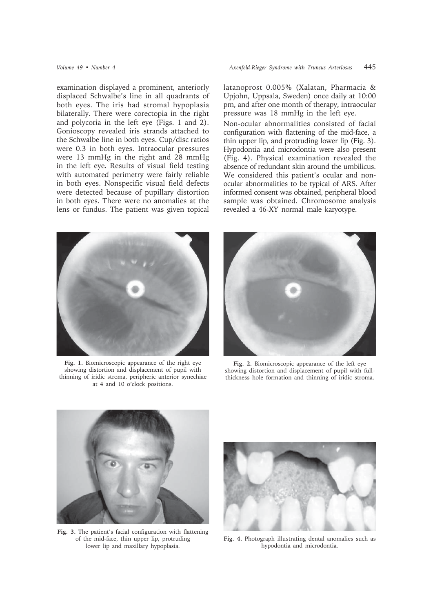examination displayed a prominent, anteriorly displaced Schwalbe's line in all quadrants of both eyes. The iris had stromal hypoplasia bilaterally. There were corectopia in the right and polycoria in the left eye (Figs. 1 and 2). Gonioscopy revealed iris strands attached to the Schwalbe line in both eyes. Cup/disc ratios were 0.3 in both eyes. Intraocular pressures were 13 mmHg in the right and 28 mmHg in the left eye. Results of visual field testing with automated perimetry were fairly reliable in both eyes. Nonspecific visual field defects were detected because of pupillary distortion in both eyes. There were no anomalies at the lens or fundus. The patient was given topical

latanoprost 0.005% (Xalatan, Pharmacia & Upjohn, Uppsala, Sweden) once daily at 10:00 pm, and after one month of therapy, intraocular pressure was 18 mmHg in the left eye.

Non-ocular abnormalities consisted of facial configuration with flattening of the mid-face, a thin upper lip, and protruding lower lip (Fig. 3). Hypodontia and microdontia were also present (Fig. 4). Physical examination revealed the absence of redundant skin around the umbilicus. We considered this patient's ocular and nonocular abnormalities to be typical of ARS. After informed consent was obtained, peripheral blood sample was obtained. Chromosome analysis revealed a 46-XY normal male karyotype.



**Fig. 1.** Biomicroscopic appearance of the right eye showing distortion and displacement of pupil with thinning of iridic stroma, peripheric anterior synechiae at 4 and 10 o'clock positions.



**Fig. 2.** Biomicroscopic appearance of the left eye showing distortion and displacement of pupil with fullthickness hole formation and thinning of iridic stroma.



**Fig. 3.** The patient's facial configuration with flattening of the mid-face, thin upper lip, protruding lower lip and maxillary hypoplasia.



**Fig. 4.** Photograph illustrating dental anomalies such as hypodontia and microdontia.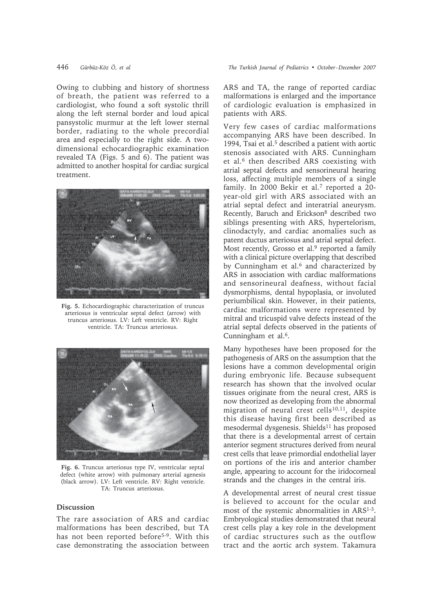Owing to clubbing and history of shortness of breath, the patient was referred to a cardiologist, who found a soft systolic thrill along the left sternal border and loud apical pansystolic murmur at the left lower sternal border, radiating to the whole precordial area and especially to the right side. A twodimensional echocardiographic examination revealed TA (Figs. 5 and 6). The patient was admitted to another hospital for cardiac surgical treatment.



**Fig. 5.** Echocardiographic characterization of truncus arteriosus is ventricular septal defect (arrow) with truncus arteriosus. LV: Left ventricle. RV: Right ventricle. TA: Truncus arteriosus.



**Fig. 6.** Truncus arteriosus type IV, ventricular septal defect (white arrow) with pulmonary arterial agenesis (black arrow). LV: Left ventricle. RV: Right ventricle. TA: Truncus arteriosus.

# **Discussion**

The rare association of ARS and cardiac malformations has been described, but TA has not been reported before<sup>5-9</sup>. With this case demonstrating the association between ARS and TA, the range of reported cardiac malformations is enlarged and the importance of cardiologic evaluation is emphasized in patients with ARS.

Very few cases of cardiac malformations accompanying ARS have been described. In 1994, Tsai et al.<sup>5</sup> described a patient with aortic stenosis associated with ARS. Cunningham et al.<sup>6</sup> then described ARS coexisting with atrial septal defects and sensorineural hearing loss, affecting multiple members of a single family. In 2000 Bekir et al.<sup>7</sup> reported a 20year-old girl with ARS associated with an atrial septal defect and interatrial aneurysm. Recently, Baruch and Erickson8 described two siblings presenting with ARS, hypertelorism, clinodactyly, and cardiac anomalies such as patent ductus arteriosus and atrial septal defect. Most recently, Grosso et al.<sup>9</sup> reported a family with a clinical picture overlapping that described by Cunningham et al.<sup>6</sup> and characterized by ARS in association with cardiac malformations and sensorineural deafness, without facial dysmorphisms, dental hypoplasia, or involuted periumbilical skin. However, in their patients, cardiac malformations were represented by mitral and tricuspid valve defects instead of the atrial septal defects observed in the patients of Cunningham et al.<sup>6</sup>.

Many hypotheses have been proposed for the pathogenesis of ARS on the assumption that the lesions have a common developmental origin during embryonic life. Because subsequent research has shown that the involved ocular tissues originate from the neural crest, ARS is now theorized as developing from the abnormal migration of neural crest cells $10,11$ , despite this disease having first been described as mesodermal dysgenesis. Shields<sup>11</sup> has proposed that there is a developmental arrest of certain anterior segment structures derived from neural crest cells that leave primordial endothelial layer on portions of the iris and anterior chamber angle, appearing to account for the iridocorneal strands and the changes in the central iris.

A developmental arrest of neural crest tissue is believed to account for the ocular and most of the systemic abnormalities in ARS1-3. Embryological studies demonstrated that neural crest cells play a key role in the development of cardiac structures such as the outflow tract and the aortic arch system. Takamura